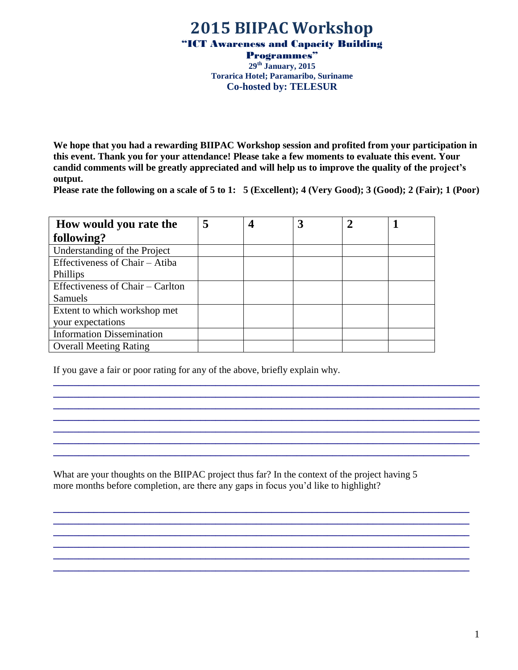## **2015 BIIPAC Workshop**

"ICT Awareness and Capacity Building

Programmes" **29 th January, 2015 Torarica Hotel; Paramaribo, Suriname Co-hosted by: TELESUR**

**We hope that you had a rewarding BIIPAC Workshop session and profited from your participation in this event. Thank you for your attendance! Please take a few moments to evaluate this event. Your candid comments will be greatly appreciated and will help us to improve the quality of the project's output.**

**Please rate the following on a scale of 5 to 1: 5 (Excellent); 4 (Very Good); 3 (Good); 2 (Fair); 1 (Poor)**

**\_\_\_\_\_\_\_\_\_\_\_\_\_\_\_\_\_\_\_\_\_\_\_\_\_\_\_\_\_\_\_\_\_\_\_\_\_\_\_\_\_\_\_\_\_\_\_\_\_\_\_\_\_\_\_\_\_\_\_\_\_\_\_\_\_\_\_\_\_\_\_\_\_\_\_\_\_\_\_\_\_\_\_\_ \_\_\_\_\_\_\_\_\_\_\_\_\_\_\_\_\_\_\_\_\_\_\_\_\_\_\_\_\_\_\_\_\_\_\_\_\_\_\_\_\_\_\_\_\_\_\_\_\_\_\_\_\_\_\_\_\_\_\_\_\_\_\_\_\_\_\_\_\_\_\_\_\_\_\_\_\_\_\_\_\_\_\_\_ \_\_\_\_\_\_\_\_\_\_\_\_\_\_\_\_\_\_\_\_\_\_\_\_\_\_\_\_\_\_\_\_\_\_\_\_\_\_\_\_\_\_\_\_\_\_\_\_\_\_\_\_\_\_\_\_\_\_\_\_\_\_\_\_\_\_\_\_\_\_\_\_\_\_\_\_\_\_\_\_\_\_\_\_ \_\_\_\_\_\_\_\_\_\_\_\_\_\_\_\_\_\_\_\_\_\_\_\_\_\_\_\_\_\_\_\_\_\_\_\_\_\_\_\_\_\_\_\_\_\_\_\_\_\_\_\_\_\_\_\_\_\_\_\_\_\_\_\_\_\_\_\_\_\_\_\_\_\_\_\_\_\_\_\_\_\_\_\_ \_\_\_\_\_\_\_\_\_\_\_\_\_\_\_\_\_\_\_\_\_\_\_\_\_\_\_\_\_\_\_\_\_\_\_\_\_\_\_\_\_\_\_\_\_\_\_\_\_\_\_\_\_\_\_\_\_\_\_\_\_\_\_\_\_\_\_\_\_\_\_\_\_\_\_\_\_\_\_\_\_\_\_\_ \_\_\_\_\_\_\_\_\_\_\_\_\_\_\_\_\_\_\_\_\_\_\_\_\_\_\_\_\_\_\_\_\_\_\_\_\_\_\_\_\_\_\_\_\_\_\_\_\_\_\_\_\_\_\_\_\_\_\_\_\_\_\_\_\_\_\_\_\_\_\_\_\_\_\_\_\_\_\_\_\_\_\_\_ \_\_\_\_\_\_\_\_\_\_\_\_\_\_\_\_\_\_\_\_\_\_\_\_\_\_\_\_\_\_\_\_\_\_\_\_\_\_\_\_\_\_\_\_\_\_\_\_\_\_\_\_\_\_\_\_\_\_\_\_\_\_\_\_\_\_\_\_\_\_\_\_\_\_\_\_\_\_\_\_\_\_**

**\_\_\_\_\_\_\_\_\_\_\_\_\_\_\_\_\_\_\_\_\_\_\_\_\_\_\_\_\_\_\_\_\_\_\_\_\_\_\_\_\_\_\_\_\_\_\_\_\_\_\_\_\_\_\_\_\_\_\_\_\_\_\_\_\_\_\_\_\_\_\_\_\_\_\_\_\_\_\_\_\_\_ \_\_\_\_\_\_\_\_\_\_\_\_\_\_\_\_\_\_\_\_\_\_\_\_\_\_\_\_\_\_\_\_\_\_\_\_\_\_\_\_\_\_\_\_\_\_\_\_\_\_\_\_\_\_\_\_\_\_\_\_\_\_\_\_\_\_\_\_\_\_\_\_\_\_\_\_\_\_\_\_\_\_ \_\_\_\_\_\_\_\_\_\_\_\_\_\_\_\_\_\_\_\_\_\_\_\_\_\_\_\_\_\_\_\_\_\_\_\_\_\_\_\_\_\_\_\_\_\_\_\_\_\_\_\_\_\_\_\_\_\_\_\_\_\_\_\_\_\_\_\_\_\_\_\_\_\_\_\_\_\_\_\_\_\_ \_\_\_\_\_\_\_\_\_\_\_\_\_\_\_\_\_\_\_\_\_\_\_\_\_\_\_\_\_\_\_\_\_\_\_\_\_\_\_\_\_\_\_\_\_\_\_\_\_\_\_\_\_\_\_\_\_\_\_\_\_\_\_\_\_\_\_\_\_\_\_\_\_\_\_\_\_\_\_\_\_\_ \_\_\_\_\_\_\_\_\_\_\_\_\_\_\_\_\_\_\_\_\_\_\_\_\_\_\_\_\_\_\_\_\_\_\_\_\_\_\_\_\_\_\_\_\_\_\_\_\_\_\_\_\_\_\_\_\_\_\_\_\_\_\_\_\_\_\_\_\_\_\_\_\_\_\_\_\_\_\_\_\_\_ \_\_\_\_\_\_\_\_\_\_\_\_\_\_\_\_\_\_\_\_\_\_\_\_\_\_\_\_\_\_\_\_\_\_\_\_\_\_\_\_\_\_\_\_\_\_\_\_\_\_\_\_\_\_\_\_\_\_\_\_\_\_\_\_\_\_\_\_\_\_\_\_\_\_\_\_\_\_\_\_\_\_**

| How would you rate the           | 5 | 3 | 2 |  |
|----------------------------------|---|---|---|--|
| following?                       |   |   |   |  |
| Understanding of the Project     |   |   |   |  |
| Effectiveness of Chair – Atiba   |   |   |   |  |
| Phillips                         |   |   |   |  |
| Effectiveness of Chair – Carlton |   |   |   |  |
| Samuels                          |   |   |   |  |
| Extent to which workshop met     |   |   |   |  |
| your expectations                |   |   |   |  |
| <b>Information Dissemination</b> |   |   |   |  |
| <b>Overall Meeting Rating</b>    |   |   |   |  |

If you gave a fair or poor rating for any of the above, briefly explain why.

What are your thoughts on the BIIPAC project thus far? In the context of the project having 5 more months before completion, are there any gaps in focus you'd like to highlight?